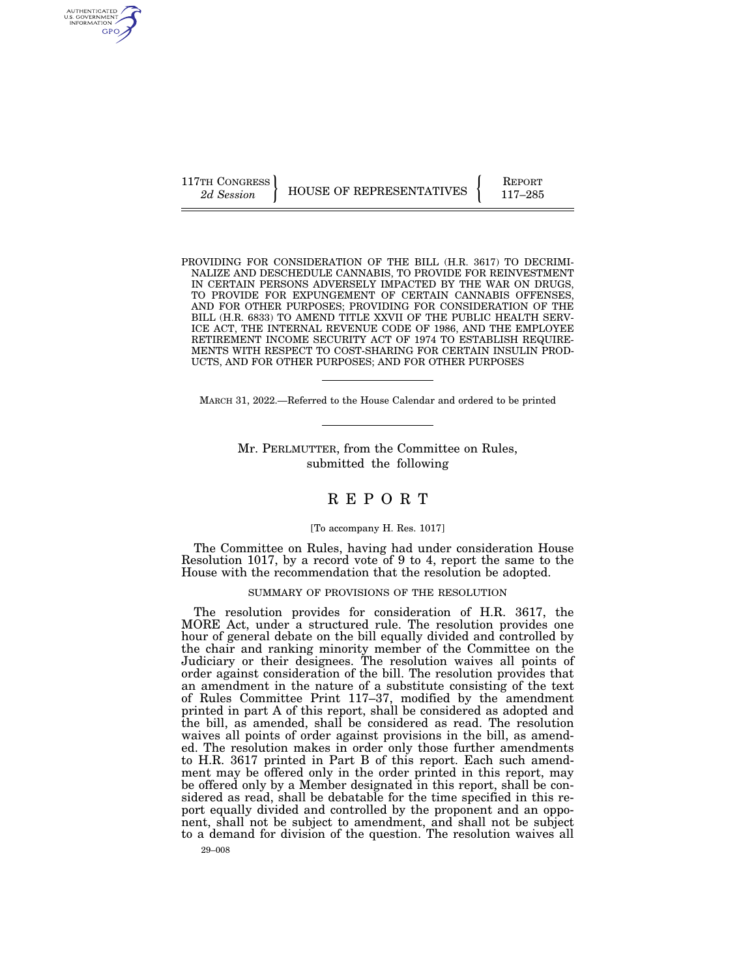117TH CONGRESS HOUSE OF REPRESENTATIVES FEPORT 117-285

PROVIDING FOR CONSIDERATION OF THE BILL (H.R. 3617) TO DECRIMI-NALIZE AND DESCHEDULE CANNABIS, TO PROVIDE FOR REINVESTMENT IN CERTAIN PERSONS ADVERSELY IMPACTED BY THE WAR ON DRUGS, TO PROVIDE FOR EXPUNGEMENT OF CERTAIN CANNABIS OFFENSES, AND FOR OTHER PURPOSES; PROVIDING FOR CONSIDERATION OF THE BILL (H.R. 6833) TO AMEND TITLE XXVII OF THE PUBLIC HEALTH SERV-ICE ACT, THE INTERNAL REVENUE CODE OF 1986, AND THE EMPLOYEE RETIREMENT INCOME SECURITY ACT OF 1974 TO ESTABLISH REQUIRE-MENTS WITH RESPECT TO COST-SHARING FOR CERTAIN INSULIN PROD-UCTS, AND FOR OTHER PURPOSES; AND FOR OTHER PURPOSES

MARCH 31, 2022.—Referred to the House Calendar and ordered to be printed

Mr. PERLMUTTER, from the Committee on Rules, submitted the following

# R E P O R T

### [To accompany H. Res. 1017]

The Committee on Rules, having had under consideration House Resolution 1017, by a record vote of 9 to 4, report the same to the House with the recommendation that the resolution be adopted.

### SUMMARY OF PROVISIONS OF THE RESOLUTION

The resolution provides for consideration of H.R. 3617, the MORE Act, under a structured rule. The resolution provides one hour of general debate on the bill equally divided and controlled by the chair and ranking minority member of the Committee on the Judiciary or their designees. The resolution waives all points of order against consideration of the bill. The resolution provides that an amendment in the nature of a substitute consisting of the text of Rules Committee Print 117–37, modified by the amendment printed in part A of this report, shall be considered as adopted and the bill, as amended, shall be considered as read. The resolution waives all points of order against provisions in the bill, as amended. The resolution makes in order only those further amendments to H.R. 3617 printed in Part B of this report. Each such amendment may be offered only in the order printed in this report, may be offered only by a Member designated in this report, shall be considered as read, shall be debatable for the time specified in this report equally divided and controlled by the proponent and an opponent, shall not be subject to amendment, and shall not be subject to a demand for division of the question. The resolution waives all

29–008

AUTHENTICATED<br>U.S. GOVERNMENT<br>INFORMATION **GPO**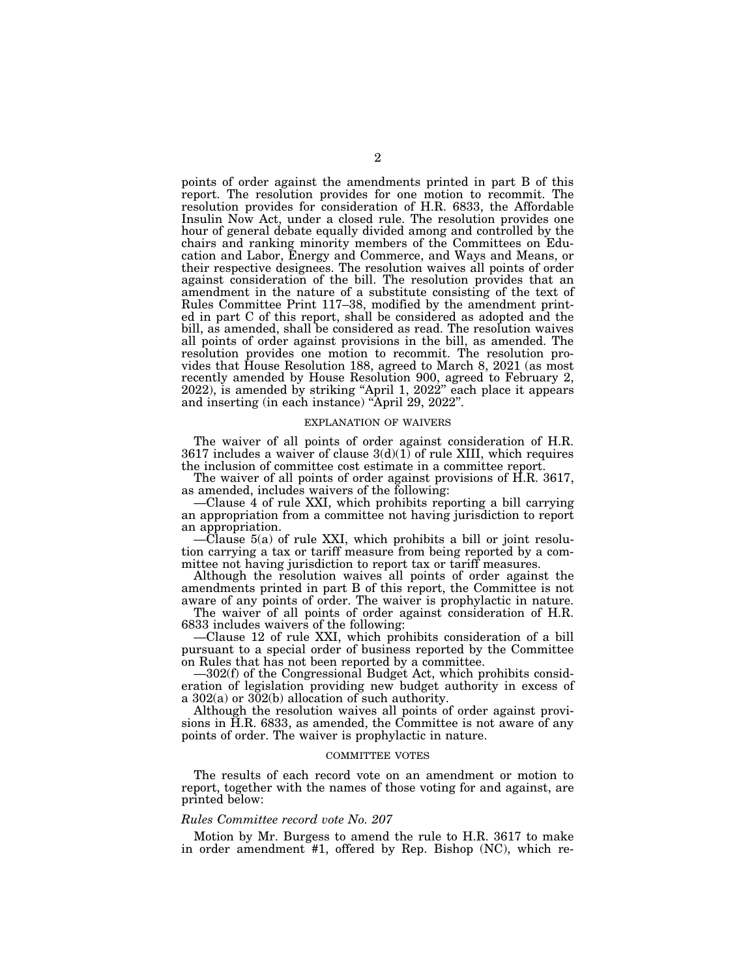points of order against the amendments printed in part B of this report. The resolution provides for one motion to recommit. The resolution provides for consideration of H.R. 6833, the Affordable Insulin Now Act, under a closed rule. The resolution provides one hour of general debate equally divided among and controlled by the chairs and ranking minority members of the Committees on Education and Labor, Energy and Commerce, and Ways and Means, or their respective designees. The resolution waives all points of order against consideration of the bill. The resolution provides that an amendment in the nature of a substitute consisting of the text of Rules Committee Print 117–38, modified by the amendment printed in part C of this report, shall be considered as adopted and the bill, as amended, shall be considered as read. The resolution waives all points of order against provisions in the bill, as amended. The resolution provides one motion to recommit. The resolution provides that House Resolution 188, agreed to March 8, 2021 (as most recently amended by House Resolution 900, agreed to February 2, 2022), is amended by striking ''April 1, 2022'' each place it appears and inserting (in each instance) ''April 29, 2022''.

#### EXPLANATION OF WAIVERS

The waiver of all points of order against consideration of H.R. 3617 includes a waiver of clause  $3(d)(1)$  of rule XIII, which requires the inclusion of committee cost estimate in a committee report.

The waiver of all points of order against provisions of H.R. 3617, as amended, includes waivers of the following:

—Clause 4 of rule XXI, which prohibits reporting a bill carrying an appropriation from a committee not having jurisdiction to report an appropriation.

—Clause 5(a) of rule XXI, which prohibits a bill or joint resolution carrying a tax or tariff measure from being reported by a committee not having jurisdiction to report tax or tariff measures.

Although the resolution waives all points of order against the amendments printed in part B of this report, the Committee is not aware of any points of order. The waiver is prophylactic in nature.

The waiver of all points of order against consideration of H.R. 6833 includes waivers of the following:

—Clause 12 of rule XXI, which prohibits consideration of a bill pursuant to a special order of business reported by the Committee on Rules that has not been reported by a committee.

—302(f) of the Congressional Budget Act, which prohibits consideration of legislation providing new budget authority in excess of a 302(a) or 302(b) allocation of such authority.

Although the resolution waives all points of order against provisions in H.R. 6833, as amended, the Committee is not aware of any points of order. The waiver is prophylactic in nature.

#### COMMITTEE VOTES

The results of each record vote on an amendment or motion to report, together with the names of those voting for and against, are printed below:

### *Rules Committee record vote No. 207*

Motion by Mr. Burgess to amend the rule to H.R. 3617 to make in order amendment #1, offered by Rep. Bishop (NC), which re-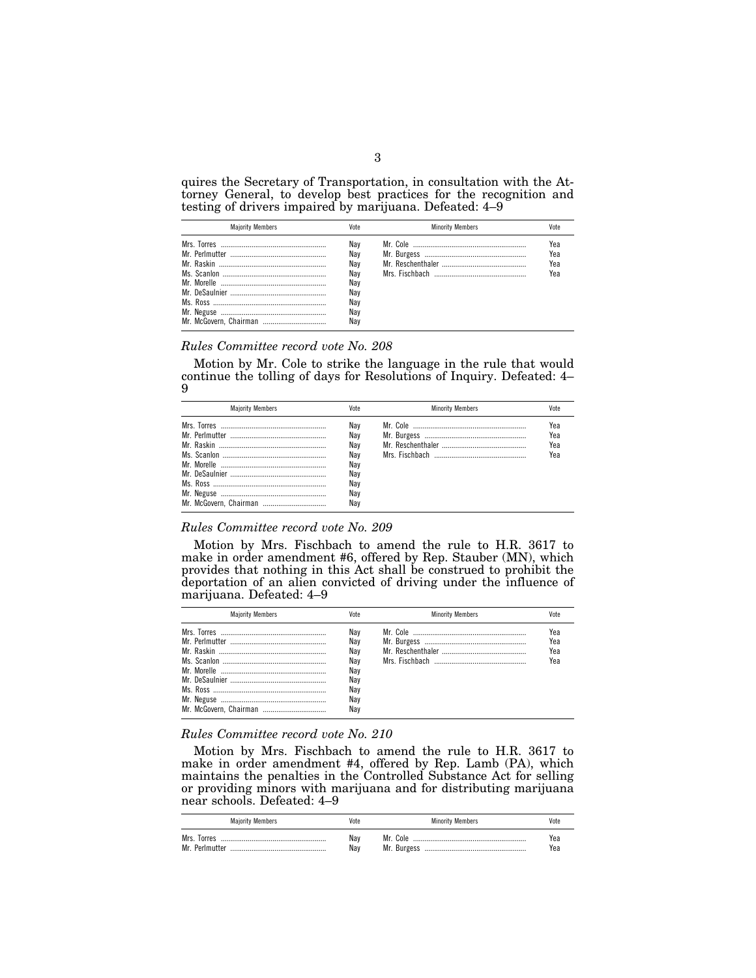quires the Secretary of Transportation, in consultation with the Attorney General, to develop best practices for the recognition and testing of drivers impaired by marijuana. Defeated: 4–9

| <b>Maiority Members</b> | Vote                                                        | <b>Minority Members</b> | Vote                     |
|-------------------------|-------------------------------------------------------------|-------------------------|--------------------------|
|                         | Nav<br>Nav<br>Nav<br>Nav<br>Nay<br>Nav<br>Nav<br>Nav<br>Nav |                         | Yea<br>Yea<br>Yea<br>Yea |

## *Rules Committee record vote No. 208*

Motion by Mr. Cole to strike the language in the rule that would continue the tolling of days for Resolutions of Inquiry. Defeated: 4– 9

| <b>Majority Members</b> | Vote                                                        | <b>Minority Members</b> |                          |
|-------------------------|-------------------------------------------------------------|-------------------------|--------------------------|
|                         | Nav<br>Nav<br>Nav<br>Nav<br>Nav<br>Nav<br>Nav<br>Nav<br>Nav |                         | Yea<br>Yea<br>Yea<br>Үеа |

#### *Rules Committee record vote No. 209*

Motion by Mrs. Fischbach to amend the rule to H.R. 3617 to make in order amendment #6, offered by Rep. Stauber (MN), which provides that nothing in this Act shall be construed to prohibit the deportation of an alien convicted of driving under the influence of marijuana. Defeated: 4–9

| <b>Maiority Members</b> | Vote                                                        | <b>Minority Members</b> | Vnte                     |
|-------------------------|-------------------------------------------------------------|-------------------------|--------------------------|
|                         | Nav<br>Nav<br>Nav<br>Nav<br>Nay<br>Nav<br>Nav<br>Nav<br>Nav |                         | Yea<br>Yea<br>Yea<br>Үеа |

## *Rules Committee record vote No. 210*

Motion by Mrs. Fischbach to amend the rule to H.R. 3617 to make in order amendment #4, offered by Rep. Lamb (PA), which maintains the penalties in the Controlled Substance Act for selling or providing minors with marijuana and for distributing marijuana near schools. Defeated: 4–9

| <b>Majority Members</b>       | Vote       | <b>Minority Members</b> | Vote       |
|-------------------------------|------------|-------------------------|------------|
| Mrs. Torres<br>Mr. Perlmutter | Nav<br>Nav | Mr. Cole                | Yea<br>Yea |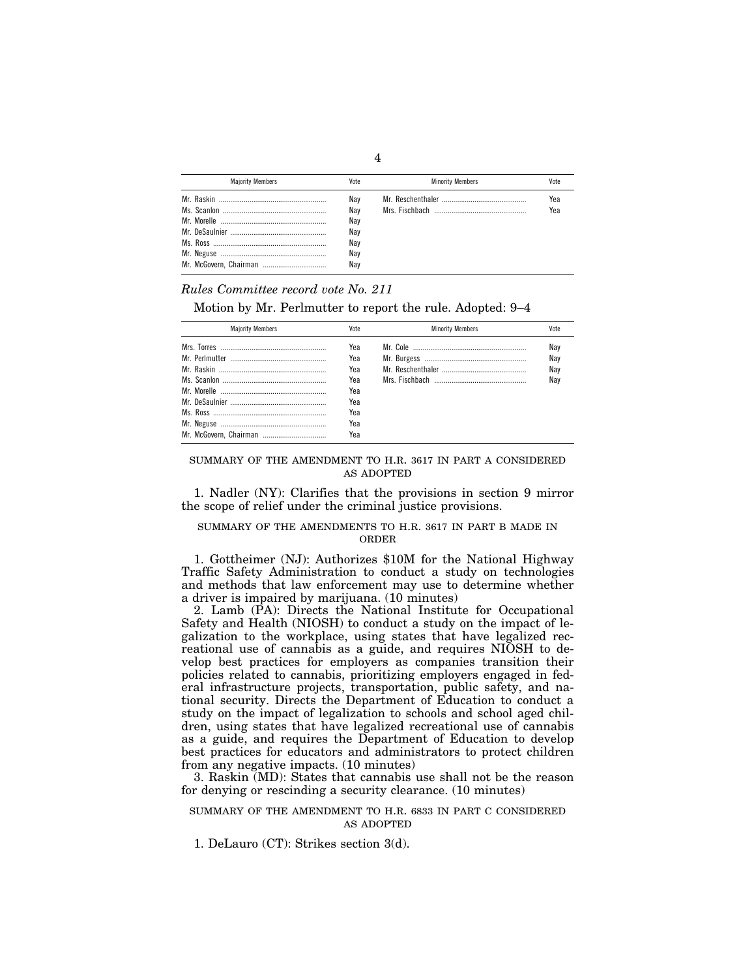| <b>Maiority Members</b> | Vote                                          | <b>Minority Members</b> | Vote       |
|-------------------------|-----------------------------------------------|-------------------------|------------|
|                         | Nav<br>Nav<br>Nav<br>Nav<br>Nav<br>Nav<br>Nav |                         | Yea<br>Yea |

*Rules Committee record vote No. 211* 

Motion by Mr. Perlmutter to report the rule. Adopted: 9–4

| <b>Maiority Members</b> | Vote | <b>Minority Members</b> | Vote |
|-------------------------|------|-------------------------|------|
|                         | Yea  |                         | Nay  |
|                         | Yea  |                         | Nay  |
|                         | Yea  |                         | Nay  |
|                         | Yea  |                         | Nav  |
|                         | Yea  |                         |      |
|                         | Yea  |                         |      |
|                         | Yea  |                         |      |
|                         | Yea  |                         |      |
| Mr. McGovern, Chairman  | Yea  |                         |      |

## SUMMARY OF THE AMENDMENT TO H.R. 3617 IN PART A CONSIDERED AS ADOPTED

1. Nadler (NY): Clarifies that the provisions in section 9 mirror the scope of relief under the criminal justice provisions.

## SUMMARY OF THE AMENDMENTS TO H.R. 3617 IN PART B MADE IN ORDER

1. Gottheimer (NJ): Authorizes \$10M for the National Highway Traffic Safety Administration to conduct a study on technologies and methods that law enforcement may use to determine whether a driver is impaired by marijuana. (10 minutes)

2. Lamb (PA): Directs the National Institute for Occupational Safety and Health (NIOSH) to conduct a study on the impact of legalization to the workplace, using states that have legalized recreational use of cannabis as a guide, and requires NIOSH to develop best practices for employers as companies transition their policies related to cannabis, prioritizing employers engaged in federal infrastructure projects, transportation, public safety, and national security. Directs the Department of Education to conduct a study on the impact of legalization to schools and school aged children, using states that have legalized recreational use of cannabis as a guide, and requires the Department of Education to develop best practices for educators and administrators to protect children from any negative impacts. (10 minutes)

3. Raskin (MD): States that cannabis use shall not be the reason for denying or rescinding a security clearance. (10 minutes)

### SUMMARY OF THE AMENDMENT TO H.R. 6833 IN PART C CONSIDERED AS ADOPTED

1. DeLauro (CT): Strikes section 3(d).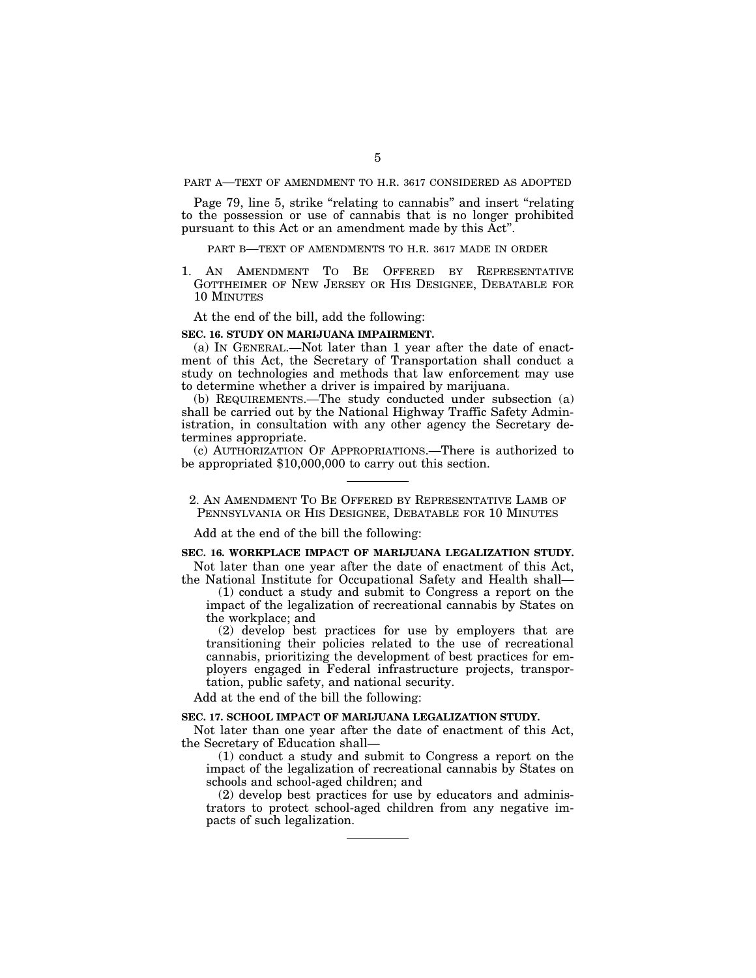PART A—TEXT OF AMENDMENT TO H.R. 3617 CONSIDERED AS ADOPTED

Page 79, line 5, strike "relating to cannabis" and insert "relating to the possession or use of cannabis that is no longer prohibited pursuant to this Act or an amendment made by this Act''.

## PART B—TEXT OF AMENDMENTS TO H.R. 3617 MADE IN ORDER

1. AN AMENDMENT TO BE OFFERED BY REPRESENTATIVE GOTTHEIMER OF NEW JERSEY OR HIS DESIGNEE, DEBATABLE FOR 10 MINUTES

At the end of the bill, add the following:

#### **SEC. 16. STUDY ON MARIJUANA IMPAIRMENT.**

(a) IN GENERAL.—Not later than 1 year after the date of enactment of this Act, the Secretary of Transportation shall conduct a study on technologies and methods that law enforcement may use to determine whether a driver is impaired by marijuana.

(b) REQUIREMENTS.—The study conducted under subsection (a) shall be carried out by the National Highway Traffic Safety Administration, in consultation with any other agency the Secretary determines appropriate.

(c) AUTHORIZATION OF APPROPRIATIONS.—There is authorized to be appropriated \$10,000,000 to carry out this section.

2. AN AMENDMENT TO BE OFFERED BY REPRESENTATIVE LAMB OF PENNSYLVANIA OR HIS DESIGNEE, DEBATABLE FOR 10 MINUTES

Add at the end of the bill the following:

## **SEC. 16. WORKPLACE IMPACT OF MARIJUANA LEGALIZATION STUDY.**

Not later than one year after the date of enactment of this Act, the National Institute for Occupational Safety and Health shall—

(1) conduct a study and submit to Congress a report on the impact of the legalization of recreational cannabis by States on the workplace; and

(2) develop best practices for use by employers that are transitioning their policies related to the use of recreational cannabis, prioritizing the development of best practices for employers engaged in Federal infrastructure projects, transportation, public safety, and national security.

Add at the end of the bill the following:

### **SEC. 17. SCHOOL IMPACT OF MARIJUANA LEGALIZATION STUDY.**

Not later than one year after the date of enactment of this Act, the Secretary of Education shall—

(1) conduct a study and submit to Congress a report on the impact of the legalization of recreational cannabis by States on schools and school-aged children; and

(2) develop best practices for use by educators and administrators to protect school-aged children from any negative impacts of such legalization.